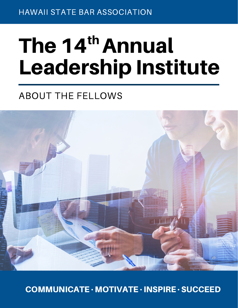HAWAII STATE BAR ASSOCIATION

# The 14<sup>th</sup> Annual Leadership Institute

## ABOUT THE FELLOWS



COMMUNICATE · MOTIVATE · INSPIRE · SUCCEED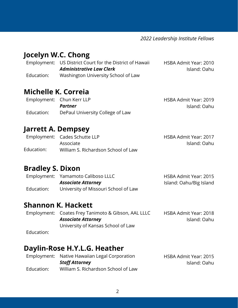*2022 Leadership Institute Fellows*

## **Jocelyn W.C. Chong**

|            | Employment: US District Court for the District of Hawaii | HSBA Admit Year: 2010 |
|------------|----------------------------------------------------------|-----------------------|
|            | <b>Administrative Law Clerk</b>                          | Island: Oahu          |
| Education: | Washington University School of Law                      |                       |

## **Michelle K. Correia**

|            | Employment: Chun Kerr LLP        | HSBA Admit Year: 2019 |
|------------|----------------------------------|-----------------------|
|            | Partner                          | Island: Oahu          |
| Education: | DePaul University College of Law |                       |

## **Jarrett A. Dempsey**

|            | Employment: Cades Schutte LLP       | <b>HSBA Admit Year: 2017</b> |
|------------|-------------------------------------|------------------------------|
|            | Associate                           | Island: Oahu                 |
| Education: | William S. Richardson School of Law |                              |

## **Bradley S. Dixon**

|            | Employment: Yamamoto Caliboso LLLC   | HSBA Admit Year: 2015   |
|------------|--------------------------------------|-------------------------|
|            | <b>Associate Attorney</b>            | Island: Oahu/Big Island |
| Education: | University of Missouri School of Law |                         |

## **Shannon K. Hackett**

|            | Employment: Coates Frey Tanimoto & Gibson, AAL LLLC | <b>HSBA Admit Year: 2018</b> |
|------------|-----------------------------------------------------|------------------------------|
|            | <b>Associate Attorney</b>                           | Island: Oahu                 |
|            | University of Kansas School of Law                  |                              |
| Education: |                                                     |                              |

## **Daylin-Rose H.Y.L.G. Heather**

|            | Employment: Native Hawaiian Legal Corporation | HSBA Admit Year: 2015 |
|------------|-----------------------------------------------|-----------------------|
|            | Staff Attorney                                | Island: Oahu          |
| Education: | William S. Richardson School of Law           |                       |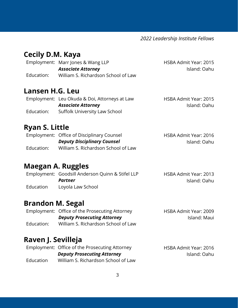*2022 Leadership Institute Fellows*

HSBA Admit Year: 2015

Island: Oahu

## **Cecily D.M. Kaya**

Employment: Marr Jones & Wang LLP Education: *Associate Attorney* William S. Richardson School of Law

#### **Lansen H.G. Leu**

Employment: Leu Okuda & Doi, Attorneys at Law Education: HSBA Admit Year: 2015 Island: Oahu *Associate Attorney* Suffolk University Law School

## **Ryan S. Little**

|            | Employment: Office of Disciplinary Counsel | HSBA Admit Year: 2016 |
|------------|--------------------------------------------|-----------------------|
|            | <b>Deputy Disciplinary Counsel</b>         | Island: Oahu          |
| Education: | William S. Richardson School of Law        |                       |

## **Maegan A. Ruggles**

|           | Employment: Goodsill Anderson Quinn & Stifel LLP | HSBA Admit Year: 2013 |
|-----------|--------------------------------------------------|-----------------------|
|           | Partner                                          | Island: Oahu          |
| Education | Loyola Law School                                |                       |

## **Brandon M. Segal**

|            | Employment: Office of the Prosecuting Attorney | HSBA Admit Year: 2009 |
|------------|------------------------------------------------|-----------------------|
|            | <b>Deputy Prosecuting Attorney</b>             | Island: Maui          |
| Education: | William S. Richardson School of Law            |                       |

## **Raven J. Sevilleja**

|           | Employment: Office of the Prosecuting Attorney | HSBA Admit Year: 2016 |
|-----------|------------------------------------------------|-----------------------|
|           | <b>Deputy Prosecuting Attorney</b>             | Island: Oahu          |
| Education | William S. Richardson School of Law            |                       |